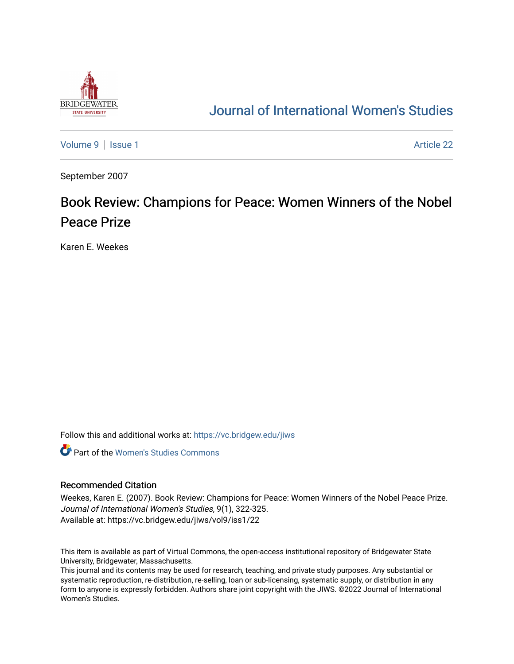

## [Journal of International Women's Studies](https://vc.bridgew.edu/jiws)

[Volume 9](https://vc.bridgew.edu/jiws/vol9) | [Issue 1](https://vc.bridgew.edu/jiws/vol9/iss1) Article 22

September 2007

## Book Review: Champions for Peace: Women Winners of the Nobel Peace Prize

Karen E. Weekes

Follow this and additional works at: [https://vc.bridgew.edu/jiws](https://vc.bridgew.edu/jiws?utm_source=vc.bridgew.edu%2Fjiws%2Fvol9%2Fiss1%2F22&utm_medium=PDF&utm_campaign=PDFCoverPages)

**C** Part of the Women's Studies Commons

## Recommended Citation

Weekes, Karen E. (2007). Book Review: Champions for Peace: Women Winners of the Nobel Peace Prize. Journal of International Women's Studies, 9(1), 322-325. Available at: https://vc.bridgew.edu/jiws/vol9/iss1/22

This item is available as part of Virtual Commons, the open-access institutional repository of Bridgewater State University, Bridgewater, Massachusetts.

This journal and its contents may be used for research, teaching, and private study purposes. Any substantial or systematic reproduction, re-distribution, re-selling, loan or sub-licensing, systematic supply, or distribution in any form to anyone is expressly forbidden. Authors share joint copyright with the JIWS. ©2022 Journal of International Women's Studies.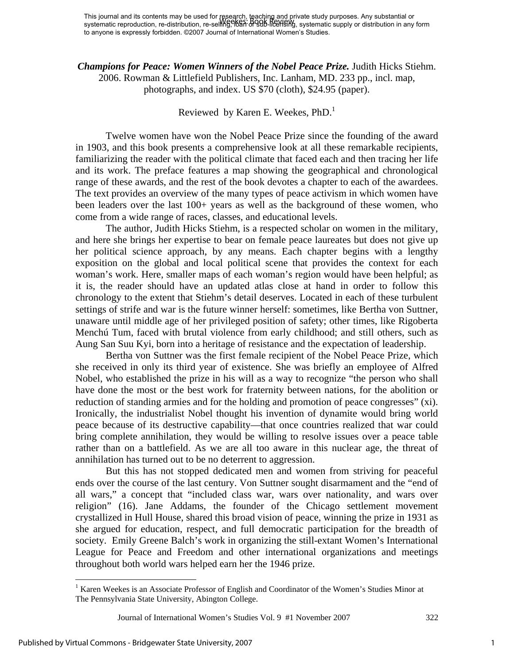*Champions for Peace: Women Winners of the Nobel Peace Prize.* Judith Hicks Stiehm. 2006. Rowman & Littlefield Publishers, Inc. Lanham, MD. 233 pp., incl. map, photographs, and index. US \$70 (cloth), \$24.95 (paper).

## Reviewed by Karen E. Weekes,  $PhD<sup>1</sup>$

 Twelve women have won the Nobel Peace Prize since the founding of the award in 1903, and this book presents a comprehensive look at all these remarkable recipients, familiarizing the reader with the political climate that faced each and then tracing her life and its work. The preface features a map showing the geographical and chronological range of these awards, and the rest of the book devotes a chapter to each of the awardees. The text provides an overview of the many types of peace activism in which women have been leaders over the last 100+ years as well as the background of these women, who come from a wide range of races, classes, and educational levels.

The author, Judith Hicks Stiehm, is a respected scholar on women in the military, and here she brings her expertise to bear on female peace laureates but does not give up her political science approach, by any means. Each chapter begins with a lengthy exposition on the global and local political scene that provides the context for each woman's work. Here, smaller maps of each woman's region would have been helpful; as it is, the reader should have an updated atlas close at hand in order to follow this chronology to the extent that Stiehm's detail deserves. Located in each of these turbulent settings of strife and war is the future winner herself: sometimes, like Bertha von Suttner, unaware until middle age of her privileged position of safety; other times, like Rigoberta Menchú Tum, faced with brutal violence from early childhood; and still others, such as Aung San Suu Kyi, born into a heritage of resistance and the expectation of leadership.

Bertha von Suttner was the first female recipient of the Nobel Peace Prize, which she received in only its third year of existence. She was briefly an employee of Alfred Nobel, who established the prize in his will as a way to recognize "the person who shall have done the most or the best work for fraternity between nations, for the abolition or reduction of standing armies and for the holding and promotion of peace congresses" (xi). Ironically, the industrialist Nobel thought his invention of dynamite would bring world peace because of its destructive capability—that once countries realized that war could bring complete annihilation, they would be willing to resolve issues over a peace table rather than on a battlefield. As we are all too aware in this nuclear age, the threat of annihilation has turned out to be no deterrent to aggression.

But this has not stopped dedicated men and women from striving for peaceful ends over the course of the last century. Von Suttner sought disarmament and the "end of all wars," a concept that "included class war, wars over nationality, and wars over religion" (16). Jane Addams, the founder of the Chicago settlement movement crystallized in Hull House, shared this broad vision of peace, winning the prize in 1931 as she argued for education, respect, and full democratic participation for the breadth of society. Emily Greene Balch's work in organizing the still-extant Women's International League for Peace and Freedom and other international organizations and meetings throughout both world wars helped earn her the 1946 prize.

1

<sup>&</sup>lt;sup>1</sup> Karen Weekes is an Associate Professor of English and Coordinator of the Women's Studies Minor at The Pennsylvania State University, Abington College.

Journal of International Women's Studies Vol. 9 #1 November 2007 322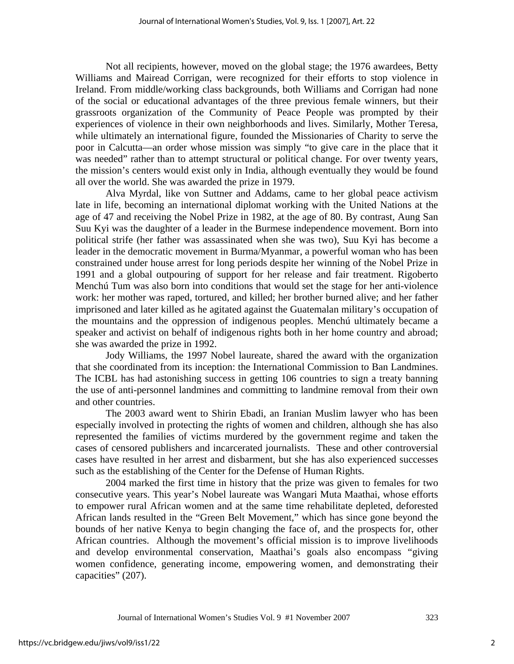Not all recipients, however, moved on the global stage; the 1976 awardees, Betty Williams and Mairead Corrigan, were recognized for their efforts to stop violence in Ireland. From middle/working class backgrounds, both Williams and Corrigan had none of the social or educational advantages of the three previous female winners, but their grassroots organization of the Community of Peace People was prompted by their experiences of violence in their own neighborhoods and lives. Similarly, Mother Teresa, while ultimately an international figure, founded the Missionaries of Charity to serve the poor in Calcutta—an order whose mission was simply "to give care in the place that it was needed" rather than to attempt structural or political change. For over twenty years, the mission's centers would exist only in India, although eventually they would be found all over the world. She was awarded the prize in 1979.

Alva Myrdal, like von Suttner and Addams, came to her global peace activism late in life, becoming an international diplomat working with the United Nations at the age of 47 and receiving the Nobel Prize in 1982, at the age of 80. By contrast, Aung San Suu Kyi was the daughter of a leader in the Burmese independence movement. Born into political strife (her father was assassinated when she was two), Suu Kyi has become a leader in the democratic movement in Burma/Myanmar, a powerful woman who has been constrained under house arrest for long periods despite her winning of the Nobel Prize in 1991 and a global outpouring of support for her release and fair treatment. Rigoberto Menchú Tum was also born into conditions that would set the stage for her anti-violence work: her mother was raped, tortured, and killed; her brother burned alive; and her father imprisoned and later killed as he agitated against the Guatemalan military's occupation of the mountains and the oppression of indigenous peoples. Menchú ultimately became a speaker and activist on behalf of indigenous rights both in her home country and abroad; she was awarded the prize in 1992.

Jody Williams, the 1997 Nobel laureate, shared the award with the organization that she coordinated from its inception: the International Commission to Ban Landmines. The ICBL has had astonishing success in getting 106 countries to sign a treaty banning the use of anti-personnel landmines and committing to landmine removal from their own and other countries.

The 2003 award went to Shirin Ebadi, an Iranian Muslim lawyer who has been especially involved in protecting the rights of women and children, although she has also represented the families of victims murdered by the government regime and taken the cases of censored publishers and incarcerated journalists. These and other controversial cases have resulted in her arrest and disbarment, but she has also experienced successes such as the establishing of the Center for the Defense of Human Rights.

2004 marked the first time in history that the prize was given to females for two consecutive years. This year's Nobel laureate was Wangari Muta Maathai, whose efforts to empower rural African women and at the same time rehabilitate depleted, deforested African lands resulted in the "Green Belt Movement," which has since gone beyond the bounds of her native Kenya to begin changing the face of, and the prospects for, other African countries. Although the movement's official mission is to improve livelihoods and develop environmental conservation, Maathai's goals also encompass "giving women confidence, generating income, empowering women, and demonstrating their capacities" (207).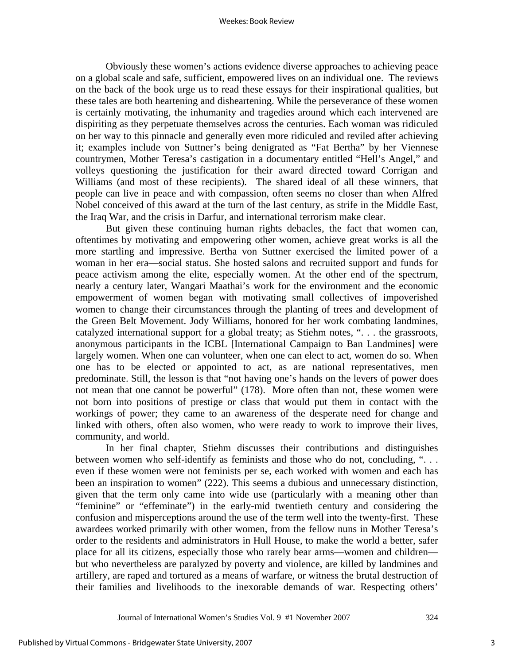Obviously these women's actions evidence diverse approaches to achieving peace on a global scale and safe, sufficient, empowered lives on an individual one. The reviews on the back of the book urge us to read these essays for their inspirational qualities, but these tales are both heartening and disheartening. While the perseverance of these women is certainly motivating, the inhumanity and tragedies around which each intervened are dispiriting as they perpetuate themselves across the centuries. Each woman was ridiculed on her way to this pinnacle and generally even more ridiculed and reviled after achieving it; examples include von Suttner's being denigrated as "Fat Bertha" by her Viennese countrymen, Mother Teresa's castigation in a documentary entitled "Hell's Angel," and volleys questioning the justification for their award directed toward Corrigan and Williams (and most of these recipients). The shared ideal of all these winners, that people can live in peace and with compassion, often seems no closer than when Alfred Nobel conceived of this award at the turn of the last century, as strife in the Middle East, the Iraq War, and the crisis in Darfur, and international terrorism make clear.

 But given these continuing human rights debacles, the fact that women can, oftentimes by motivating and empowering other women, achieve great works is all the more startling and impressive. Bertha von Suttner exercised the limited power of a woman in her era—social status. She hosted salons and recruited support and funds for peace activism among the elite, especially women. At the other end of the spectrum, nearly a century later, Wangari Maathai's work for the environment and the economic empowerment of women began with motivating small collectives of impoverished women to change their circumstances through the planting of trees and development of the Green Belt Movement. Jody Williams, honored for her work combating landmines, catalyzed international support for a global treaty; as Stiehm notes, ". . . the grassroots, anonymous participants in the ICBL [International Campaign to Ban Landmines] were largely women. When one can volunteer, when one can elect to act, women do so. When one has to be elected or appointed to act, as are national representatives, men predominate. Still, the lesson is that "not having one's hands on the levers of power does not mean that one cannot be powerful" (178). More often than not, these women were not born into positions of prestige or class that would put them in contact with the workings of power; they came to an awareness of the desperate need for change and linked with others, often also women, who were ready to work to improve their lives, community, and world.

In her final chapter, Stiehm discusses their contributions and distinguishes between women who self-identify as feminists and those who do not, concluding, ". . . even if these women were not feminists per se, each worked with women and each has been an inspiration to women" (222). This seems a dubious and unnecessary distinction, given that the term only came into wide use (particularly with a meaning other than "feminine" or "effeminate") in the early-mid twentieth century and considering the confusion and misperceptions around the use of the term well into the twenty-first. These awardees worked primarily with other women, from the fellow nuns in Mother Teresa's order to the residents and administrators in Hull House, to make the world a better, safer place for all its citizens, especially those who rarely bear arms—women and children but who nevertheless are paralyzed by poverty and violence, are killed by landmines and artillery, are raped and tortured as a means of warfare, or witness the brutal destruction of their families and livelihoods to the inexorable demands of war. Respecting others'